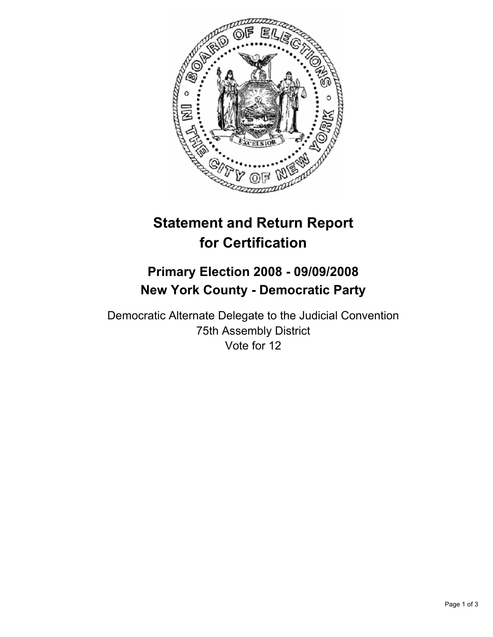

# **Statement and Return Report for Certification**

# **Primary Election 2008 - 09/09/2008 New York County - Democratic Party**

Democratic Alternate Delegate to the Judicial Convention 75th Assembly District Vote for 12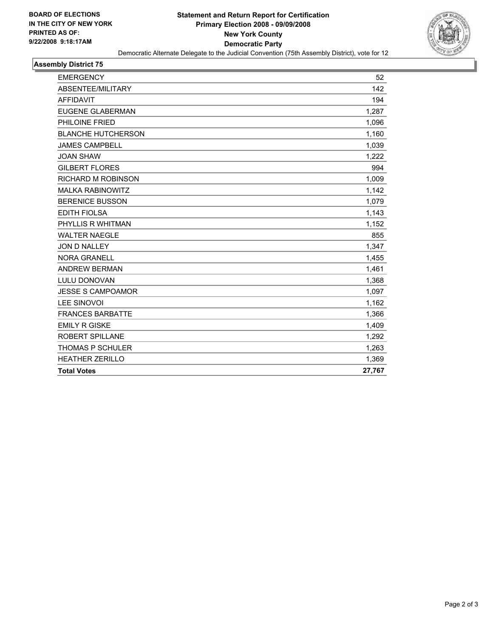

#### **Assembly District 75**

| <b>EMERGENCY</b>          | 52     |
|---------------------------|--------|
| ABSENTEE/MILITARY         | 142    |
| <b>AFFIDAVIT</b>          | 194    |
| <b>EUGENE GLABERMAN</b>   | 1,287  |
| PHILOINE FRIED            | 1,096  |
| <b>BLANCHE HUTCHERSON</b> | 1,160  |
| <b>JAMES CAMPBELL</b>     | 1,039  |
| <b>JOAN SHAW</b>          | 1,222  |
| <b>GILBERT FLORES</b>     | 994    |
| <b>RICHARD M ROBINSON</b> | 1,009  |
| <b>MALKA RABINOWITZ</b>   | 1,142  |
| <b>BERENICE BUSSON</b>    | 1,079  |
| <b>EDITH FIOLSA</b>       | 1,143  |
| PHYLLIS R WHITMAN         | 1,152  |
| <b>WALTER NAEGLE</b>      | 855    |
| JON D NALLEY              | 1,347  |
| <b>NORA GRANELL</b>       | 1,455  |
| <b>ANDREW BERMAN</b>      | 1,461  |
| <b>LULU DONOVAN</b>       | 1,368  |
| <b>JESSE S CAMPOAMOR</b>  | 1,097  |
| <b>LEE SINOVOI</b>        | 1,162  |
| <b>FRANCES BARBATTE</b>   | 1,366  |
| <b>EMILY R GISKE</b>      | 1,409  |
| <b>ROBERT SPILLANE</b>    | 1,292  |
| <b>THOMAS P SCHULER</b>   | 1,263  |
| <b>HEATHER ZERILLO</b>    | 1,369  |
| <b>Total Votes</b>        | 27,767 |